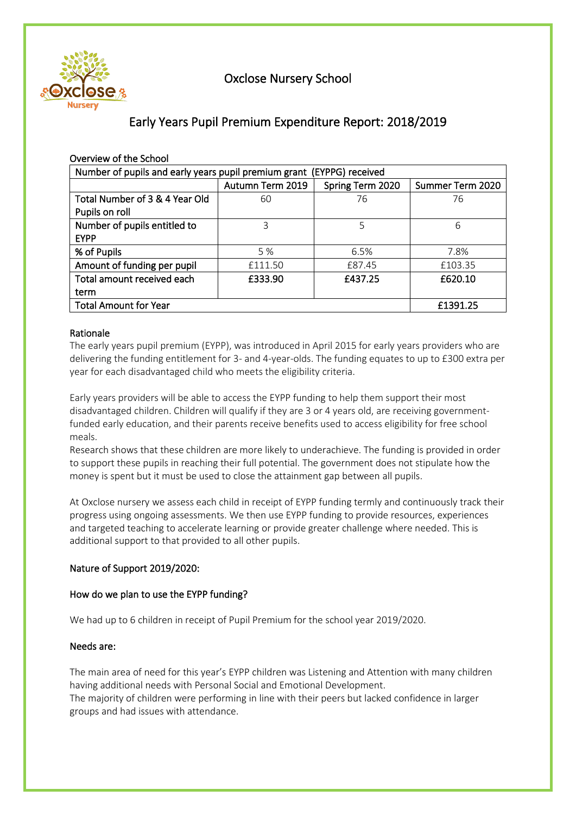

# Oxclose Nursery School

# Early Years Pupil Premium Expenditure Report: 2018/2019

| Overview of the School                                                |                  |                  |                  |  |  |  |  |
|-----------------------------------------------------------------------|------------------|------------------|------------------|--|--|--|--|
| Number of pupils and early years pupil premium grant (EYPPG) received |                  |                  |                  |  |  |  |  |
|                                                                       | Autumn Term 2019 | Spring Term 2020 | Summer Term 2020 |  |  |  |  |
| Total Number of 3 & 4 Year Old                                        | 60               | 76               | 76               |  |  |  |  |
| Pupils on roll                                                        |                  |                  |                  |  |  |  |  |
| Number of pupils entitled to                                          | 3                | 5                | 6                |  |  |  |  |
| <b>EYPP</b>                                                           |                  |                  |                  |  |  |  |  |
| % of Pupils                                                           | 5 %              | 6.5%             | 7.8%             |  |  |  |  |
| Amount of funding per pupil                                           | £111.50          | £87.45           | £103.35          |  |  |  |  |
| Total amount received each                                            | £333.90          | £437.25          | £620.10          |  |  |  |  |
| term                                                                  |                  |                  |                  |  |  |  |  |
| <b>Total Amount for Year</b>                                          | £1391.25         |                  |                  |  |  |  |  |

### Rationale

The early years pupil premium (EYPP), was introduced in April 2015 for early years providers who are delivering the funding entitlement for 3- and 4-year-olds. The funding equates to up to £300 extra per year for each disadvantaged child who meets the eligibility criteria.

Early years providers will be able to access the EYPP funding to help them support their most disadvantaged children. Children will qualify if they are 3 or 4 years old, are receiving governmentfunded early education, and their parents receive benefits used to access eligibility for free school meals.

Research shows that these children are more likely to underachieve. The funding is provided in order to support these pupils in reaching their full potential. The government does not stipulate how the money is spent but it must be used to close the attainment gap between all pupils.

At Oxclose nursery we assess each child in receipt of EYPP funding termly and continuously track their progress using ongoing assessments. We then use EYPP funding to provide resources, experiences and targeted teaching to accelerate learning or provide greater challenge where needed. This is additional support to that provided to all other pupils.

### Nature of Support 2019/2020:

### How do we plan to use the EYPP funding?

We had up to 6 children in receipt of Pupil Premium for the school year 2019/2020.

### Needs are:

The main area of need for this year's EYPP children was Listening and Attention with many children having additional needs with Personal Social and Emotional Development. The majority of children were performing in line with their peers but lacked confidence in larger groups and had issues with attendance.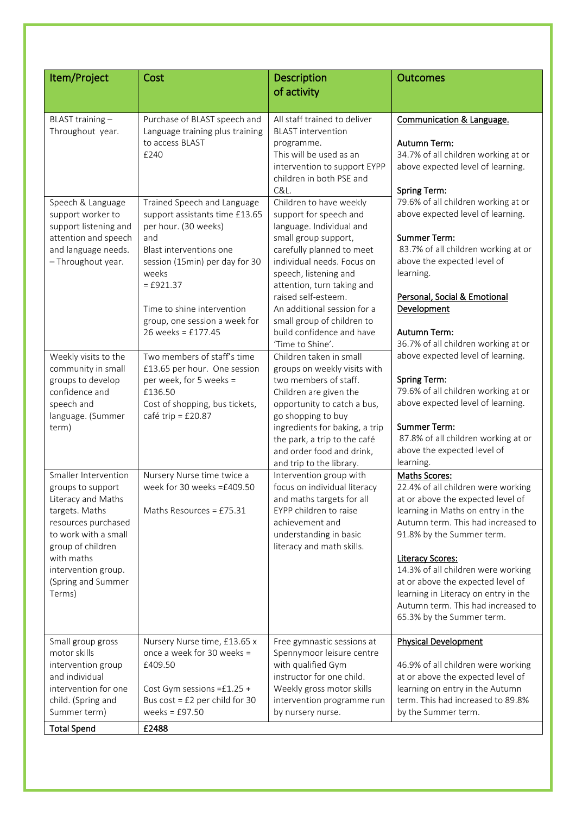| Item/Project                                                                                                                                                                                                               | Cost                                                                                                                                                                                                                                                                   |                                                                                                                                                                                                                                                                                                                                                              | <b>Outcomes</b>                                                                                                                                                                                                                                                                                                                                                                                                   |  |  |
|----------------------------------------------------------------------------------------------------------------------------------------------------------------------------------------------------------------------------|------------------------------------------------------------------------------------------------------------------------------------------------------------------------------------------------------------------------------------------------------------------------|--------------------------------------------------------------------------------------------------------------------------------------------------------------------------------------------------------------------------------------------------------------------------------------------------------------------------------------------------------------|-------------------------------------------------------------------------------------------------------------------------------------------------------------------------------------------------------------------------------------------------------------------------------------------------------------------------------------------------------------------------------------------------------------------|--|--|
|                                                                                                                                                                                                                            |                                                                                                                                                                                                                                                                        | Description<br>of activity                                                                                                                                                                                                                                                                                                                                   |                                                                                                                                                                                                                                                                                                                                                                                                                   |  |  |
|                                                                                                                                                                                                                            |                                                                                                                                                                                                                                                                        |                                                                                                                                                                                                                                                                                                                                                              |                                                                                                                                                                                                                                                                                                                                                                                                                   |  |  |
| BLAST training-<br>Throughout year.                                                                                                                                                                                        | Purchase of BLAST speech and<br>Language training plus training<br>to access BLAST<br>£240                                                                                                                                                                             | All staff trained to deliver<br><b>BLAST</b> intervention<br>programme.<br>This will be used as an<br>intervention to support EYPP<br>children in both PSE and<br>C&L.                                                                                                                                                                                       | <b>Communication &amp; Language.</b><br>Autumn Term:<br>34.7% of all children working at or<br>above expected level of learning.<br><b>Spring Term:</b>                                                                                                                                                                                                                                                           |  |  |
| Speech & Language<br>support worker to<br>support listening and<br>attention and speech<br>and language needs.<br>- Throughout year.                                                                                       | Trained Speech and Language<br>support assistants time £13.65<br>per hour. (30 weeks)<br>and<br>Blast interventions one<br>session (15min) per day for 30<br>weeks<br>$=$ £921.37<br>Time to shine intervention<br>group, one session a week for<br>26 weeks = £177.45 | Children to have weekly<br>support for speech and<br>language. Individual and<br>small group support,<br>carefully planned to meet<br>individual needs. Focus on<br>speech, listening and<br>attention, turn taking and<br>raised self-esteem.<br>An additional session for a<br>small group of children to<br>build confidence and have<br>'Time to Shine'. | 79.6% of all children working at or<br>above expected level of learning.<br><b>Summer Term:</b><br>83.7% of all children working at or<br>above the expected level of<br>learning.<br>Personal, Social & Emotional<br>Development<br><b>Autumn Term:</b><br>36.7% of all children working at or                                                                                                                   |  |  |
| Weekly visits to the<br>community in small<br>groups to develop<br>confidence and<br>speech and<br>language. (Summer<br>term)                                                                                              | Two members of staff's time<br>£13.65 per hour. One session<br>per week, for 5 weeks =<br>£136.50<br>Cost of shopping, bus tickets,<br>café trip = £20.87                                                                                                              | Children taken in small<br>groups on weekly visits with<br>two members of staff.<br>Children are given the<br>opportunity to catch a bus,<br>go shopping to buy<br>ingredients for baking, a trip<br>the park, a trip to the café<br>and order food and drink,<br>and trip to the library.                                                                   | above expected level of learning.<br><b>Spring Term:</b><br>79.6% of all children working at or<br>above expected level of learning.<br><b>Summer Term:</b><br>87.8% of all children working at or<br>above the expected level of<br>learning.                                                                                                                                                                    |  |  |
| Smaller Intervention<br>groups to support<br>Literacy and Maths<br>targets. Maths<br>resources purchased<br>to work with a small<br>group of children<br>with maths<br>intervention group.<br>(Spring and Summer<br>Terms) | Nursery Nurse time twice a<br>week for 30 weeks =£409.50<br>Maths Resources = £75.31                                                                                                                                                                                   | Intervention group with<br>focus on individual literacy<br>and maths targets for all<br>EYPP children to raise<br>achievement and<br>understanding in basic<br>literacy and math skills.                                                                                                                                                                     | Maths Scores:<br>22.4% of all children were working<br>at or above the expected level of<br>learning in Maths on entry in the<br>Autumn term. This had increased to<br>91.8% by the Summer term.<br><b>Literacy Scores:</b><br>14.3% of all children were working<br>at or above the expected level of<br>learning in Literacy on entry in the<br>Autumn term. This had increased to<br>65.3% by the Summer term. |  |  |
| Small group gross<br>motor skills<br>intervention group<br>and individual<br>intervention for one<br>child. (Spring and<br>Summer term)<br><b>Total Spend</b>                                                              | Nursery Nurse time, £13.65 x<br>once a week for 30 weeks =<br>£409.50<br>Cost Gym sessions = £1.25 +<br>Bus $cost = £2$ per child for 30<br>weeks = $£97.50$<br>£2488                                                                                                  | Free gymnastic sessions at<br>Spennymoor leisure centre<br>with qualified Gym<br>instructor for one child.<br>Weekly gross motor skills<br>intervention programme run<br>by nursery nurse.                                                                                                                                                                   | <b>Physical Development</b><br>46.9% of all children were working<br>at or above the expected level of<br>learning on entry in the Autumn<br>term. This had increased to 89.8%<br>by the Summer term.                                                                                                                                                                                                             |  |  |